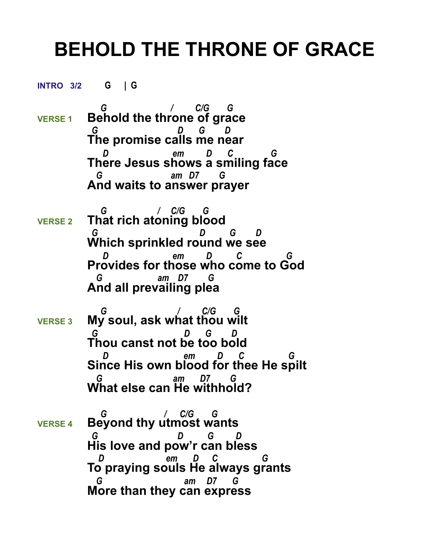## **BEHOLD THE THRONE OF GRACE**

**INTRO 3/2 G | G** 

- *G / C/G G*  **VERSE 1 Behold the throne of grace**  *G D G D* **The promise calls me near**  *D em D C G*  **There Jesus shows a smiling face**  *G am D7 G*  **And waits to answer prayer**
- *G / C/G G*  **VERSE 2 That rich atoning blood**  *G D G D* **Which sprinkled round we see**  *D em D C G*  **Provides for those who come to God** *am D7* **And all prevailing plea**
- *G / C/G G* **VERSE 3 My soul, ask what thou wilt**  *G D G D* **Thou canst not be too bold**  *D em D C G*  **Since His own blood for thee He spilt**  *G am D7 G*  **What else can He withhold?**
- *G / C/G G* **VERSE 4 Beyond thy utmost wants**  *G D G D* **His love and pow'r can bless**  *D em D C G*  **To praying souls He always grants**  *G am D7 G*  **More than they can express**